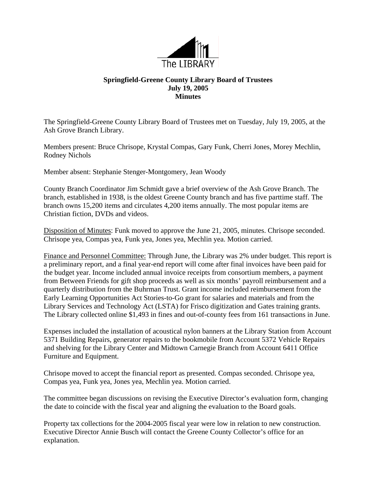

## **Springfield-Greene County Library Board of Trustees July 19, 2005 Minutes**

The Springfield-Greene County Library Board of Trustees met on Tuesday, July 19, 2005, at the Ash Grove Branch Library.

Members present: Bruce Chrisope, Krystal Compas, Gary Funk, Cherri Jones, Morey Mechlin, Rodney Nichols

Member absent: Stephanie Stenger-Montgomery, Jean Woody

County Branch Coordinator Jim Schmidt gave a brief overview of the Ash Grove Branch. The branch, established in 1938, is the oldest Greene County branch and has five parttime staff. The branch owns 15,200 items and circulates 4,200 items annually. The most popular items are Christian fiction, DVDs and videos.

Disposition of Minutes: Funk moved to approve the June 21, 2005, minutes. Chrisope seconded. Chrisope yea, Compas yea, Funk yea, Jones yea, Mechlin yea. Motion carried.

Finance and Personnel Committee: Through June, the Library was 2% under budget. This report is a preliminary report, and a final year-end report will come after final invoices have been paid for the budget year. Income included annual invoice receipts from consortium members, a payment from Between Friends for gift shop proceeds as well as six months' payroll reimbursement and a quarterly distribution from the Buhrman Trust. Grant income included reimbursement from the Early Learning Opportunities Act Stories-to-Go grant for salaries and materials and from the Library Services and Technology Act (LSTA) for Frisco digitization and Gates training grants. The Library collected online \$1,493 in fines and out-of-county fees from 161 transactions in June.

Expenses included the installation of acoustical nylon banners at the Library Station from Account 5371 Building Repairs, generator repairs to the bookmobile from Account 5372 Vehicle Repairs and shelving for the Library Center and Midtown Carnegie Branch from Account 6411 Office Furniture and Equipment.

Chrisope moved to accept the financial report as presented. Compas seconded. Chrisope yea, Compas yea, Funk yea, Jones yea, Mechlin yea. Motion carried.

The committee began discussions on revising the Executive Director's evaluation form, changing the date to coincide with the fiscal year and aligning the evaluation to the Board goals.

Property tax collections for the 2004-2005 fiscal year were low in relation to new construction. Executive Director Annie Busch will contact the Greene County Collector's office for an explanation.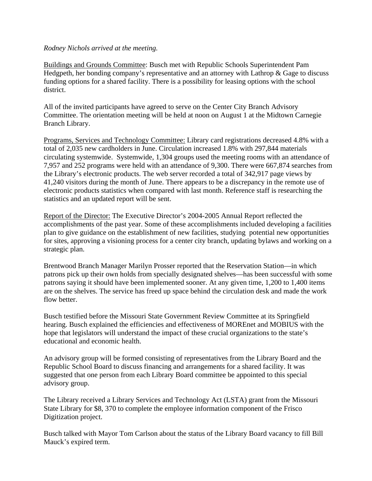## *Rodney Nichols arrived at the meeting.*

Buildings and Grounds Committee: Busch met with Republic Schools Superintendent Pam Hedgpeth, her bonding company's representative and an attorney with Lathrop & Gage to discuss funding options for a shared facility. There is a possibility for leasing options with the school district.

All of the invited participants have agreed to serve on the Center City Branch Advisory Committee. The orientation meeting will be held at noon on August 1 at the Midtown Carnegie Branch Library.

Programs, Services and Technology Committee: Library card registrations decreased 4.8% with a total of 2,035 new cardholders in June. Circulation increased 1.8% with 297,844 materials circulating systemwide. Systemwide, 1,304 groups used the meeting rooms with an attendance of 7,957 and 252 programs were held with an attendance of 9,300. There were 667,874 searches from the Library's electronic products. The web server recorded a total of 342,917 page views by 41,240 visitors during the month of June. There appears to be a discrepancy in the remote use of electronic products statistics when compared with last month. Reference staff is researching the statistics and an updated report will be sent.

Report of the Director: The Executive Director's 2004-2005 Annual Report reflected the accomplishments of the past year. Some of these accomplishments included developing a facilities plan to give guidance on the establishment of new facilities, studying potential new opportunities for sites, approving a visioning process for a center city branch, updating bylaws and working on a strategic plan.

Brentwood Branch Manager Marilyn Prosser reported that the Reservation Station—in which patrons pick up their own holds from specially designated shelves—has been successful with some patrons saying it should have been implemented sooner. At any given time, 1,200 to 1,400 items are on the shelves. The service has freed up space behind the circulation desk and made the work flow better.

Busch testified before the Missouri State Government Review Committee at its Springfield hearing. Busch explained the efficiencies and effectiveness of MOREnet and MOBIUS with the hope that legislators will understand the impact of these crucial organizations to the state's educational and economic health.

An advisory group will be formed consisting of representatives from the Library Board and the Republic School Board to discuss financing and arrangements for a shared facility. It was suggested that one person from each Library Board committee be appointed to this special advisory group.

The Library received a Library Services and Technology Act (LSTA) grant from the Missouri State Library for \$8, 370 to complete the employee information component of the Frisco Digitization project.

Busch talked with Mayor Tom Carlson about the status of the Library Board vacancy to fill Bill Mauck's expired term.